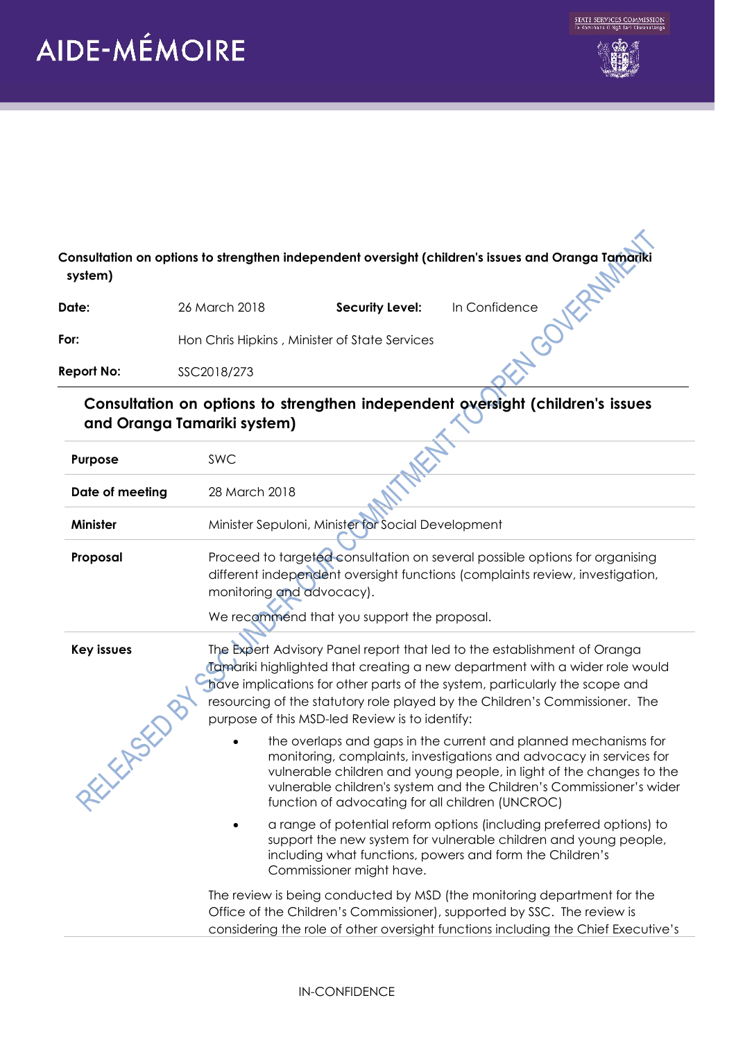## AIDE-MÉMOIRE





| Consultation on options to strengthen independent oversight (children's issues and Oranga Tamariki<br>system) |                                                                                                                                                                                                                                                                                                                                                                         |  |
|---------------------------------------------------------------------------------------------------------------|-------------------------------------------------------------------------------------------------------------------------------------------------------------------------------------------------------------------------------------------------------------------------------------------------------------------------------------------------------------------------|--|
| Date:                                                                                                         | In Confidence<br>26 March 2018<br><b>Security Level:</b>                                                                                                                                                                                                                                                                                                                |  |
| For:                                                                                                          | Hon Chris Hipkins, Minister of State Services                                                                                                                                                                                                                                                                                                                           |  |
| <b>Report No:</b>                                                                                             | SSC2018/273                                                                                                                                                                                                                                                                                                                                                             |  |
|                                                                                                               | Consultation on options to strengthen independent oversight (children's issues<br>and Oranga Tamariki system)                                                                                                                                                                                                                                                           |  |
| Purpose                                                                                                       | SWC                                                                                                                                                                                                                                                                                                                                                                     |  |
| Date of meeting                                                                                               | 28 March 2018                                                                                                                                                                                                                                                                                                                                                           |  |
| <b>Minister</b>                                                                                               | Minister Sepuloni, Minister for Social Development                                                                                                                                                                                                                                                                                                                      |  |
| Proposal                                                                                                      | Proceed to targeted consultation on several possible options for organising<br>different independent oversight functions (complaints review, investigation,<br>monitoring and advocacy).<br>We recommend that you support the proposal.                                                                                                                                 |  |
| <b>Key issues</b>                                                                                             | The Expert Advisory Panel report that led to the establishment of Oranga<br>Tamariki highlighted that creating a new department with a wider role would<br>have implications for other parts of the system, particularly the scope and<br>resourcing of the statutory role played by the Children's Commissioner. The<br>purpose of this MSD-led Review is to identify: |  |
| 经公                                                                                                            | the overlaps and gaps in the current and planned mechanisms for<br>monitoring, complaints, investigations and advocacy in services for<br>vulnerable children and young people, in light of the changes to the<br>vulnerable children's system and the Children's Commissioner's wider<br>function of advocating for all children (UNCROC)                              |  |
|                                                                                                               | a range of potential reform options (including preferred options) to<br>support the new system for vulnerable children and young people,<br>including what functions, powers and form the Children's<br>Commissioner might have.                                                                                                                                        |  |
|                                                                                                               | The review is being conducted by MSD (the monitoring department for the<br>Office of the Children's Commissioner), supported by SSC. The review is<br>considering the role of other oversight functions including the Chief Executive's                                                                                                                                 |  |

## IN-CONFIDENCE